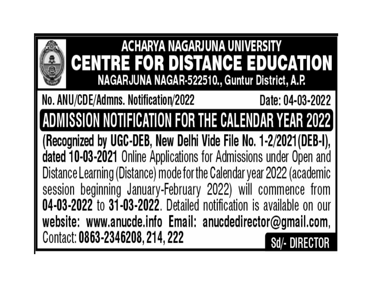

# **ACHARYA NAGARJUNA UNIVERSITY CENTRE FOR DISTANCE EDUCATION** NAGARJUNA NAGAR-522510., Guntur District, A.P.

### No. ANU/CDE/Admns. Notification/2022 Date: 04-03-2022

ADMISSION NOTIFICATION FOR THE CALENDAR YEAR 2022

(Recognized by UGC-DEB, New Delhi Vide File No. 1-2/2021 (DEB-I), dated 10-03-2021 Online Applications for Admissions under Open and Distance Learning (Distance) mode for the Calendar year 2022 (academic session beginning January-February 2022) will commence from 04-03-2022 to 31-03-2022. Detailed notification is available on our website: www.anucde.info Email: anucdedirector@gmail.com, Contact: 0863-2346208, 214, 222 Sd/- DIRECTOR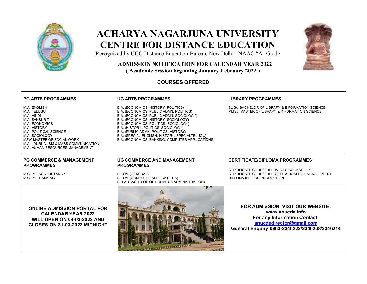

# **ACHARYA NAGARJUNA UNIVERSITY CENTRE FOR DISTANCE EDUCATION**



Recognized by UGC Distance Education Bureau, New Delhi - NAAC "A" Grade

## **ADMISSION NOTIFICATION FOR CALENDAR YEAR 2022**

 **( Academic Session beginning January-February 2022 )** 

#### **COURSES OFFERED**

| <b>PG ARTS PROGRAMMES</b>                                                                                                                                                                                                                                      | <b>UG ARTS PROGRAMMES</b>                                                                                                                                                                                                                                                                                                                                                                         | <b>LIBRARY PROGRAMMES</b>                                                                                                                                       |
|----------------------------------------------------------------------------------------------------------------------------------------------------------------------------------------------------------------------------------------------------------------|---------------------------------------------------------------------------------------------------------------------------------------------------------------------------------------------------------------------------------------------------------------------------------------------------------------------------------------------------------------------------------------------------|-----------------------------------------------------------------------------------------------------------------------------------------------------------------|
| M.A. ENGLISH<br>M.A. TELUGU<br>M.A. HINDI<br><b>M.A. SANSKRIT</b><br><b>M.A. ECONOMICS</b><br>M.A. HISTORY<br>M.A. POLITICAL SCIENCE<br>M.A. SOCIOLOGY<br>MSW MASTER OF SOCIAL WORK<br>M.A. JOURNALISM & MASS COMMUNICATION<br>M.A. HUMAN RESOURCES MANAGEMENT | B.A. (ECONOMICS, HISTORY, POLITICS)<br>B.A. (ECONOMICS, PUBLIC ADMN, POLITICS)<br>B.A. (ECONOMICS, PUBLIC ADMN, SOCIOLOGY)<br>B.A. (ECONOMICS, HISTORY, SOCIOLOGY)<br>B.A. (ECONOMICS, POLITICS, SOCIOLOGY)<br>B.A. (HISTORY, POLITICS, SOCIOLOGY)<br>B.A. (PUBLIC ADMN, POLITICS, HISTORY)<br>B.A. (SPECIAL ENGLISH, HISTORY, SPECIALTELUGU)<br>B.A. (ECONOMICS, BANKING, COMPUTER APPLICATIONS) | BLISC BACHELOR OF LIBRARY & INFORMATION SCIENCE<br>MLISC MASTER OF LIBRARY & INFORMATION SCIENCE                                                                |
| <b>PG COMMERCE &amp; MANAGEMENT</b><br><b>PROGRAMMES</b>                                                                                                                                                                                                       | <b>UG COMMERCE AND MANAGEMENT</b><br><b>PROGRAMMES</b>                                                                                                                                                                                                                                                                                                                                            | <b>CERTIFICATE/DIPLOMA PROGRAMMES</b>                                                                                                                           |
| <b>M.COM - ACCOUNTANCY</b><br>M.COM - BANKING                                                                                                                                                                                                                  | <b>B.COM (GENERAL)</b><br><b>B.COM (COMPUTER APPLICATIONS)</b><br>B.B.A. (BACHELOR OF BUSINESS ADMINISTRATION)                                                                                                                                                                                                                                                                                    | CERTIFICATE COURSE IN HIV AIDS COUNSELLING<br>CERTIFICATE COURSE IN HOTEL & HOSPITAL MANAGEMENT<br>DIPLOMA IN FOOD PRODUCTION                                   |
| <b>ONLINE ADMISSION PORTAL FOR</b><br><b>CALENDAR YEAR 2022</b><br><b>WILL OPEN ON 04-03-2022 AND</b><br>CLOSES ON 31-03-2022 MIDNIGHT                                                                                                                         |                                                                                                                                                                                                                                                                                                                                                                                                   | FOR ADMISSION VISIT OUR WEBSITE:<br>www.anucde.info<br>For any Information Contact:<br>anucdedirector@gmail.com<br>General Enquiry:0863-2346222/2346208/2346214 |

and WI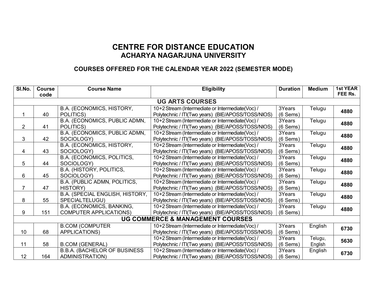#### **CENTRE FOR DISTANCE EDUCATION ACHARYA NAGARJUNA UNIVERSITY**

#### **COURSES OFFERED FOR THE CALENDAR YEAR 2022 (SEMESTER MODE)**

| SI.No.                                      | <b>Course</b><br>code  | <b>Course Name</b>                  | <b>Eligibility</b>                                 | <b>Duration</b> | <b>Medium</b> | <b>1st YEAR</b><br>FEE Rs. |  |
|---------------------------------------------|------------------------|-------------------------------------|----------------------------------------------------|-----------------|---------------|----------------------------|--|
|                                             | <b>UG ARTS COURSES</b> |                                     |                                                    |                 |               |                            |  |
|                                             |                        | B.A. (ECONOMICS, HISTORY,           | 10+2 Stream (Intermediate or Intermediate(Voc) /   | 3Years          | Telugu        |                            |  |
| 1                                           | 40                     | POLITICS)                           | Polytechnic / ITI(Two years) (BIE/APOSS/TOSS/NIOS) | $(6$ Sems)      |               | 4880                       |  |
|                                             |                        | B.A. (ECONOMICS, PUBLIC ADMN,       | 10+2 Stream (Intermediate or Intermediate(Voc) /   | 3Years          | Telugu        | 4880                       |  |
| $\overline{2}$                              | 41                     | POLITICS)                           | Polytechnic / ITI(Two years) (BIE/APOSS/TOSS/NIOS) | $(6$ Sems)      |               |                            |  |
|                                             |                        | B.A. (ECONOMICS, PUBLIC ADMN,       | 10+2 Stream (Intermediate or Intermediate(Voc) /   | 3Years          | Telugu        | 4880                       |  |
| 3                                           | 42                     | SOCIOLOGY)                          | Polytechnic / ITI(Two years) (BIE/APOSS/TOSS/NIOS) | $(6$ Sems)      |               |                            |  |
|                                             |                        | B.A. (ECONOMICS, HISTORY,           | 10+2 Stream (Intermediate or Intermediate(Voc) /   | 3Years          | Telugu        | 4880                       |  |
| $\overline{4}$                              | 43                     | SOCIOLOGY)                          | Polytechnic / ITI(Two years) (BIE/APOSS/TOSS/NIOS) | $(6$ Sems)      |               |                            |  |
|                                             |                        | B.A. (ECONOMICS, POLITICS,          | 10+2 Stream (Intermediate or Intermediate(Voc) /   | 3Years          | Telugu        | 4880                       |  |
| 5                                           | 44                     | SOCIOLOGY)                          | Polytechnic / ITI(Two years) (BIE/APOSS/TOSS/NIOS) | $(6$ Sems)      |               |                            |  |
|                                             |                        | B.A. (HISTORY, POLITICS,            | 10+2 Stream (Intermediate or Intermediate(Voc) /   | 3Years          | Telugu        | 4880                       |  |
| 6                                           | 45                     | SOCIOLOGY)                          | Polytechnic / ITI(Two years) (BIE/APOSS/TOSS/NIOS) | $(6$ Sems)      |               |                            |  |
|                                             |                        | B.A. (PUBLIC ADMN, POLITICS,        | 10+2 Stream (Intermediate or Intermediate(Voc) /   | 3Years          | Telugu        | 4880                       |  |
| $\overline{7}$                              | 47                     | <b>HISTORY</b> )                    | Polytechnic / ITI(Two years) (BIE/APOSS/TOSS/NIOS) | $(6$ Sems)      |               |                            |  |
|                                             |                        | B.A. (SPECIAL ENGLISH, HISTORY,     | 10+2 Stream (Intermediate or Intermediate(Voc) /   | 3Years          | Telugu        | 4880                       |  |
| 8                                           | 55                     | SPECIALTELUGU)                      | Polytechnic / ITI(Two years) (BIE/APOSS/TOSS/NIOS) | $(6$ Sems)      |               |                            |  |
|                                             |                        | B.A. (ECONOMICS, BANKING,           | 10+2 Stream (Intermediate or Intermediate(Voc) /   | 3Years          | Telugu        | 4880                       |  |
| 9                                           | 151                    | <b>COMPUTER APPLICATIONS)</b>       | Polytechnic / ITI(Two years) (BIE/APOSS/TOSS/NIOS) | $(6$ Sems)      |               |                            |  |
| <b>UG COMMERCE &amp; MANAGEMENT COURSES</b> |                        |                                     |                                                    |                 |               |                            |  |
|                                             |                        | <b>B.COM (COMPUTER</b>              | 10+2 Stream (Intermediate or Intermediate(Voc) /   | 3Years          | English       | 6730                       |  |
| 10                                          | 68                     | APPLICATIONS)                       | Polytechnic / ITI(Two years) (BIE/APOSS/TOSS/NIOS) | $(6$ Sems)      |               |                            |  |
|                                             |                        |                                     | 10+2 Stream (Intermediate or Intermediate(Voc) /   | 3Years          | Telugu,       | 5630                       |  |
| 11                                          | 58                     | <b>B.COM (GENERAL)</b>              | Polytechnic / ITI(Two years) (BIE/APOSS/TOSS/NIOS) | $(6$ Sems)      | English       |                            |  |
|                                             |                        | <b>B.B.A. (BACHELOR OF BUSINESS</b> | 10+2 Stream (Intermediate or Intermediate(Voc) /   | 3Years          | English       | 6730                       |  |
| 12                                          | 164                    | <b>ADMINISTRATION)</b>              | Polytechnic / ITI(Two years) (BIE/APOSS/TOSS/NIOS) | $(6$ Sems)      |               |                            |  |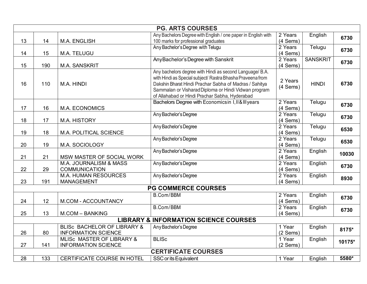|    |                                                  |                                                           | <b>PG. ARTS COURSES</b>                                                                                                                                                                                                                                                                    |                                  |                 |        |
|----|--------------------------------------------------|-----------------------------------------------------------|--------------------------------------------------------------------------------------------------------------------------------------------------------------------------------------------------------------------------------------------------------------------------------------------|----------------------------------|-----------------|--------|
|    |                                                  |                                                           | Any Bachelors Degree with English / one paper in English with                                                                                                                                                                                                                              | 2 Years                          | English         | 6730   |
| 13 | 14                                               | M.A. ENGLISH                                              | 100 marks for professional graduates                                                                                                                                                                                                                                                       | $(4$ Sems)                       |                 |        |
| 14 | 15                                               | M.A. TELUGU                                               | Any Bachelor's Degree with Telugu                                                                                                                                                                                                                                                          | 2 Years<br>(4 Sems)              | Telugu          | 6730   |
|    |                                                  |                                                           | Any Bachelor's Degree with Sanskrit                                                                                                                                                                                                                                                        | 2 Years                          | <b>SANSKRIT</b> |        |
| 15 | 190                                              | <b>M.A. SANSKRIT</b>                                      |                                                                                                                                                                                                                                                                                            | $(4$ Sems)                       |                 | 6730   |
| 16 | 110                                              | M.A. HINDI                                                | Any bachelors degree with Hindi as second Language/ B.A.<br>with Hindi as Special subject/ Rastra Bhasha Praveena from<br>Dakshin Bharat Hindi Prachar Sabha of Madras / Sahitya<br>Sammalan or Visharad Diploma or Hindi Vidwan program<br>of Allahabad or Hindi Prachar Sabha, Hyderabad | 2 Years<br>$(4$ Sems)            | <b>HINDI</b>    | 6730   |
| 17 | 16                                               | M.A. ECONOMICS                                            | Bachelors Degree with Economicsin I, II& III years                                                                                                                                                                                                                                         | 2 Years<br>(4 Sems)              | Telugu          | 6730   |
| 18 | 17                                               | M.A. HISTORY                                              | Any Bachelor's Degree                                                                                                                                                                                                                                                                      | 2 Years<br>$(4$ Sems)            | Telugu          | 6730   |
| 19 | 18                                               | M.A. POLITICAL SCIENCE                                    | Any Bachelor's Degree                                                                                                                                                                                                                                                                      | 2 Years<br>$(4$ Sems)            | Telugu          | 6530   |
| 20 | 19                                               | M.A. SOCIOLOGY                                            | Any Bachelor's Degree                                                                                                                                                                                                                                                                      | $\overline{2}$ Years<br>(4 Sems) | Telugu          | 6530   |
|    |                                                  |                                                           | Any Bachelor's Degree                                                                                                                                                                                                                                                                      | 2 Years                          | English         | 10030  |
| 21 | 21                                               | MSW MASTER OF SOCIAL WORK                                 |                                                                                                                                                                                                                                                                                            | (4 Sems)                         |                 |        |
| 22 | 29                                               | M.A. JOURNALISM & MASS<br><b>COMMUNICATION</b>            | Any Bachelor's Degree                                                                                                                                                                                                                                                                      | 2 Years<br>$(4$ Sems)            | English         | 6730   |
| 23 | 191                                              | <b>M.A. HUMAN RESOURCES</b><br><b>MANAGEMENT</b>          | Any Bachelor's Degree                                                                                                                                                                                                                                                                      | 2 Years<br>(4 Sems)              | English         | 8930   |
|    | <b>PG COMMERCE COURSES</b>                       |                                                           |                                                                                                                                                                                                                                                                                            |                                  |                 |        |
| 24 | 12                                               | M.COM - ACCOUNTANCY                                       | <b>B.Com/BBM</b>                                                                                                                                                                                                                                                                           | 2 Years<br>(4 Sems)              | English         | 6730   |
| 25 | 13                                               | <b>M.COM - BANKING</b>                                    | <b>B.Com/BBM</b>                                                                                                                                                                                                                                                                           | 2 Years<br>(4 Sems)              | English         | 6730   |
|    | <b>LIBRARY &amp; INFORMATION SCIENCE COURSES</b> |                                                           |                                                                                                                                                                                                                                                                                            |                                  |                 |        |
| 26 | 80                                               | BLISC BACHELOR OF LIBRARY &<br><b>INFORMATION SCIENCE</b> | Any Bachelor's Degree                                                                                                                                                                                                                                                                      | 1 Year<br>$(2$ Sems)             | English         | 8175*  |
| 27 | 141                                              | MLISC MASTER OF LIBRARY &<br><b>INFORMATION SCIENCE</b>   | <b>BLISC</b>                                                                                                                                                                                                                                                                               | 1 Year<br>$(2$ Sems)             | English         | 10175* |
|    | <b>CERTIFICATE COURSES</b>                       |                                                           |                                                                                                                                                                                                                                                                                            |                                  |                 |        |
| 28 | 133                                              | CERTIFICATE COURSE IN HOTEL                               | SSC or its Equivalent                                                                                                                                                                                                                                                                      | 1 Year                           | English         | 5580*  |